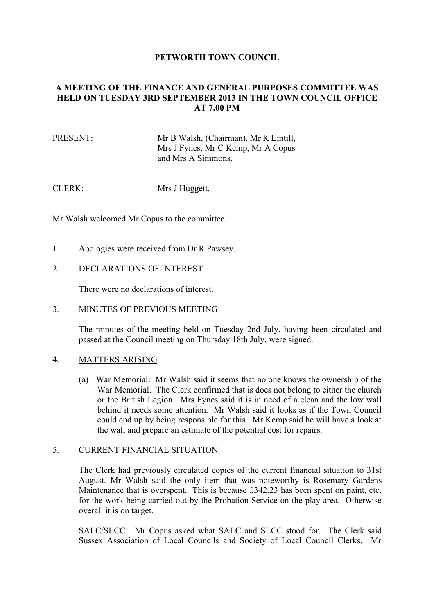### **PETWORTH TOWN COUNCIL**

## **A MEETING OF THE FINANCE AND GENERAL PURPOSES COMMITTEE WAS HELD ON TUESDAY 3RD SEPTEMBER 2013 IN THE TOWN COUNCIL OFFICE AT 7.00 PM**

## PRESENT: Mr B Walsh, (Chairman), Mr K Lintill, Mrs J Fynes, Mr C Kemp, Mr A Copus and Mrs A Simmons.

CLERK: Mrs J Huggett.

Mr Walsh welcomed Mr Copus to the committee.

- 1. Apologies were received from Dr R Pawsey.
- 2. DECLARATIONS OF INTEREST

There were no declarations of interest.

3. MINUTES OF PREVIOUS MEETING

The minutes of the meeting held on Tuesday 2nd July, having been circulated and passed at the Council meeting on Thursday 18th July, were signed.

#### 4. MATTERS ARISING

(a) War Memorial: Mr Walsh said it seems that no one knows the ownership of the War Memorial. The Clerk confirmed that is does not belong to either the church or the British Legion. Mrs Fynes said it is in need of a clean and the low wall behind it needs some attention. Mr Walsh said it looks as if the Town Council could end up by being responsible for this. Mr Kemp said he will have a look at the wall and prepare an estimate of the potential cost for repairs.

#### 5. CURRENT FINANCIAL SITUATION

The Clerk had previously circulated copies of the current financial situation to 31st August. Mr Walsh said the only item that was noteworthy is Rosemary Gardens Maintenance that is overspent. This is because £342.23 has been spent on paint, etc. for the work being carried out by the Probation Service on the play area. Otherwise overall it is on target.

SALC/SLCC: Mr Copus asked what SALC and SLCC stood for. The Clerk said Sussex Association of Local Councils and Society of Local Council Clerks. Mr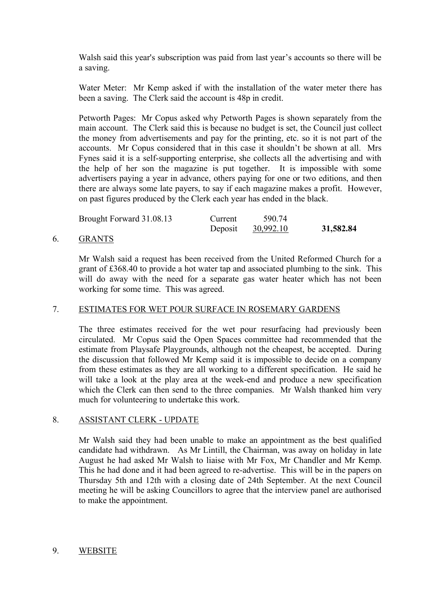Walsh said this year's subscription was paid from last year's accounts so there will be a saving.

Water Meter: Mr Kemp asked if with the installation of the water meter there has been a saving. The Clerk said the account is 48p in credit.

Petworth Pages: Mr Copus asked why Petworth Pages is shown separately from the main account. The Clerk said this is because no budget is set, the Council just collect the money from advertisements and pay for the printing, etc. so it is not part of the accounts. Mr Copus considered that in this case it shouldn't be shown at all. Mrs Fynes said it is a self-supporting enterprise, she collects all the advertising and with the help of her son the magazine is put together. It is impossible with some advertisers paying a year in advance, others paying for one or two editions, and then there are always some late payers, to say if each magazine makes a profit. However, on past figures produced by the Clerk each year has ended in the black.

| Brought Forward 31.08.13 | Current | 590.74    |           |
|--------------------------|---------|-----------|-----------|
|                          | Deposit | 30,992.10 | 31,582.84 |

#### 6. GRANTS

Mr Walsh said a request has been received from the United Reformed Church for a grant of £368.40 to provide a hot water tap and associated plumbing to the sink. This will do away with the need for a separate gas water heater which has not been working for some time. This was agreed.

## 7. ESTIMATES FOR WET POUR SURFACE IN ROSEMARY GARDENS

The three estimates received for the wet pour resurfacing had previously been circulated. Mr Copus said the Open Spaces committee had recommended that the estimate from Playsafe Playgrounds, although not the cheapest, be accepted. During the discussion that followed Mr Kemp said it is impossible to decide on a company from these estimates as they are all working to a different specification. He said he will take a look at the play area at the week-end and produce a new specification which the Clerk can then send to the three companies. Mr Walsh thanked him very much for volunteering to undertake this work.

# 8. ASSISTANT CLERK - UPDATE

Mr Walsh said they had been unable to make an appointment as the best qualified candidate had withdrawn. As Mr Lintill, the Chairman, was away on holiday in late August he had asked Mr Walsh to liaise with Mr Fox, Mr Chandler and Mr Kemp. This he had done and it had been agreed to re-advertise. This will be in the papers on Thursday 5th and 12th with a closing date of 24th September. At the next Council meeting he will be asking Councillors to agree that the interview panel are authorised to make the appointment.

## 9. WEBSITE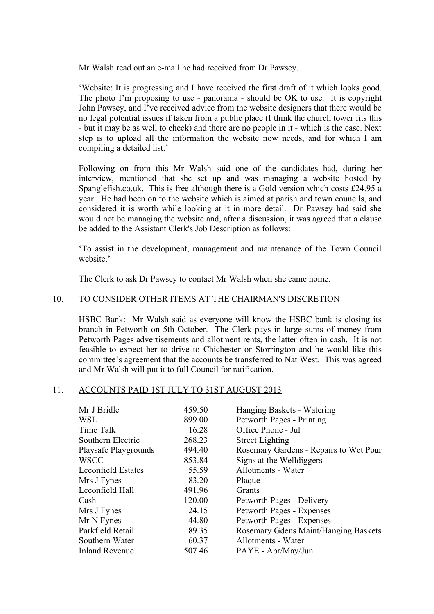Mr Walsh read out an e-mail he had received from Dr Pawsey.

'Website: It is progressing and I have received the first draft of it which looks good. The photo I'm proposing to use - panorama - should be OK to use. It is copyright John Pawsey, and I've received advice from the website designers that there would be no legal potential issues if taken from a public place (I think the church tower fits this - but it may be as well to check) and there are no people in it - which is the case. Next step is to upload all the information the website now needs, and for which I am compiling a detailed list.'

Following on from this Mr Walsh said one of the candidates had, during her interview, mentioned that she set up and was managing a website hosted by Spanglefish.co.uk. This is free although there is a Gold version which costs £24.95 a year. He had been on to the website which is aimed at parish and town councils, and considered it is worth while looking at it in more detail. Dr Pawsey had said she would not be managing the website and, after a discussion, it was agreed that a clause be added to the Assistant Clerk's Job Description as follows:

'To assist in the development, management and maintenance of the Town Council website<sup>'</sup>

The Clerk to ask Dr Pawsey to contact Mr Walsh when she came home.

#### 10. TO CONSIDER OTHER ITEMS AT THE CHAIRMAN'S DISCRETION

HSBC Bank: Mr Walsh said as everyone will know the HSBC bank is closing its branch in Petworth on 5th October. The Clerk pays in large sums of money from Petworth Pages advertisements and allotment rents, the latter often in cash. It is not feasible to expect her to drive to Chichester or Storrington and he would like this committee's agreement that the accounts be transferred to Nat West. This was agreed and Mr Walsh will put it to full Council for ratification.

#### 11. ACCOUNTS PAID 1ST JULY TO 31ST AUGUST 2013

| Mr J Bridle               | 459.50 | Hanging Baskets - Watering             |
|---------------------------|--------|----------------------------------------|
| WSL                       | 899.00 | Petworth Pages - Printing              |
| Time Talk                 | 16.28  | Office Phone - Jul                     |
| Southern Electric         | 268.23 | <b>Street Lighting</b>                 |
| Playsafe Playgrounds      | 494.40 | Rosemary Gardens - Repairs to Wet Pour |
| <b>WSCC</b>               | 853.84 | Signs at the Well diggers              |
| <b>Leconfield Estates</b> | 55.59  | Allotments - Water                     |
| Mrs J Fynes               | 83.20  | Plaque                                 |
| Leconfield Hall           | 491.96 | Grants                                 |
| Cash                      | 120.00 | Petworth Pages - Delivery              |
| Mrs J Fynes               | 24.15  | Petworth Pages - Expenses              |
| Mr N Fynes                | 44.80  | Petworth Pages - Expenses              |
| Parkfield Retail          | 89.35  | Rosemary Gdens Maint/Hanging Baskets   |
| Southern Water            | 60.37  | Allotments - Water                     |
| <b>Inland Revenue</b>     | 507.46 | PAYE - Apr/May/Jun                     |